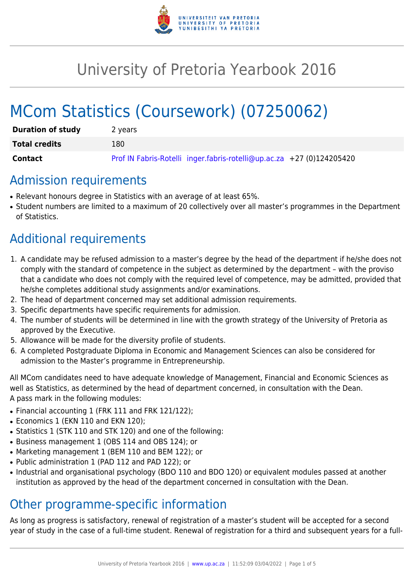

# University of Pretoria Yearbook 2016

# MCom Statistics (Coursework) (07250062)

| <b>Duration of study</b> | 2 years                                                               |
|--------------------------|-----------------------------------------------------------------------|
| <b>Total credits</b>     | 180                                                                   |
| Contact                  | Prof IN Fabris-Rotelli inger.fabris-rotelli@up.ac.za +27 (0)124205420 |

## Admission requirements

- Relevant honours degree in Statistics with an average of at least 65%.
- Student numbers are limited to a maximum of 20 collectively over all master's programmes in the Department of Statistics.

# Additional requirements

- 1. A candidate may be refused admission to a master's degree by the head of the department if he/she does not comply with the standard of competence in the subject as determined by the department – with the proviso that a candidate who does not comply with the required level of competence, may be admitted, provided that he/she completes additional study assignments and/or examinations.
- 2. The head of department concerned may set additional admission requirements.
- 3. Specific departments have specific requirements for admission.
- 4. The number of students will be determined in line with the growth strategy of the University of Pretoria as approved by the Executive.
- 5. Allowance will be made for the diversity profile of students.
- 6. A completed Postgraduate Diploma in Economic and Management Sciences can also be considered for admission to the Master's programme in Entrepreneurship.

All MCom candidates need to have adequate knowledge of Management, Financial and Economic Sciences as well as Statistics, as determined by the head of department concerned, in consultation with the Dean. A pass mark in the following modules:

- Financial accounting 1 (FRK 111 and FRK 121/122);
- Economics 1 (EKN 110 and EKN 120);
- Statistics 1 (STK 110 and STK 120) and one of the following:
- Business management 1 (OBS 114 and OBS 124); or
- Marketing management 1 (BEM 110 and BEM 122); or
- Public administration 1 (PAD 112 and PAD 122); or
- Industrial and organisational psychology (BDO 110 and BDO 120) or equivalent modules passed at another institution as approved by the head of the department concerned in consultation with the Dean.

### Other programme-specific information

As long as progress is satisfactory, renewal of registration of a master's student will be accepted for a second year of study in the case of a full-time student. Renewal of registration for a third and subsequent years for a full-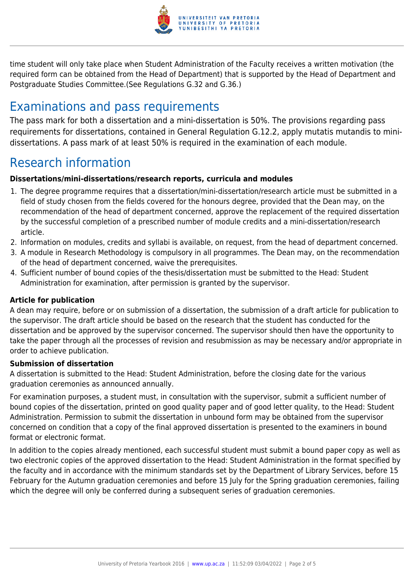

time student will only take place when Student Administration of the Faculty receives a written motivation (the required form can be obtained from the Head of Department) that is supported by the Head of Department and Postgraduate Studies Committee.(See Regulations G.32 and G.36.)

# Examinations and pass requirements

The pass mark for both a dissertation and a mini-dissertation is 50%. The provisions regarding pass requirements for dissertations, contained in General Regulation G.12.2, apply mutatis mutandis to minidissertations. A pass mark of at least 50% is required in the examination of each module.

# Research information

#### **Dissertations/mini-dissertations/research reports, curricula and modules**

- 1. The degree programme requires that a dissertation/mini-dissertation/research article must be submitted in a field of study chosen from the fields covered for the honours degree, provided that the Dean may, on the recommendation of the head of department concerned, approve the replacement of the required dissertation by the successful completion of a prescribed number of module credits and a mini-dissertation/research article.
- 2. Information on modules, credits and syllabi is available, on request, from the head of department concerned.
- 3. A module in Research Methodology is compulsory in all programmes. The Dean may, on the recommendation of the head of department concerned, waive the prerequisites.
- 4. Sufficient number of bound copies of the thesis/dissertation must be submitted to the Head: Student Administration for examination, after permission is granted by the supervisor.

#### **Article for publication**

A dean may require, before or on submission of a dissertation, the submission of a draft article for publication to the supervisor. The draft article should be based on the research that the student has conducted for the dissertation and be approved by the supervisor concerned. The supervisor should then have the opportunity to take the paper through all the processes of revision and resubmission as may be necessary and/or appropriate in order to achieve publication.

#### **Submission of dissertation**

A dissertation is submitted to the Head: Student Administration, before the closing date for the various graduation ceremonies as announced annually.

For examination purposes, a student must, in consultation with the supervisor, submit a sufficient number of bound copies of the dissertation, printed on good quality paper and of good letter quality, to the Head: Student Administration. Permission to submit the dissertation in unbound form may be obtained from the supervisor concerned on condition that a copy of the final approved dissertation is presented to the examiners in bound format or electronic format.

In addition to the copies already mentioned, each successful student must submit a bound paper copy as well as two electronic copies of the approved dissertation to the Head: Student Administration in the format specified by the faculty and in accordance with the minimum standards set by the Department of Library Services, before 15 February for the Autumn graduation ceremonies and before 15 July for the Spring graduation ceremonies, failing which the degree will only be conferred during a subsequent series of graduation ceremonies.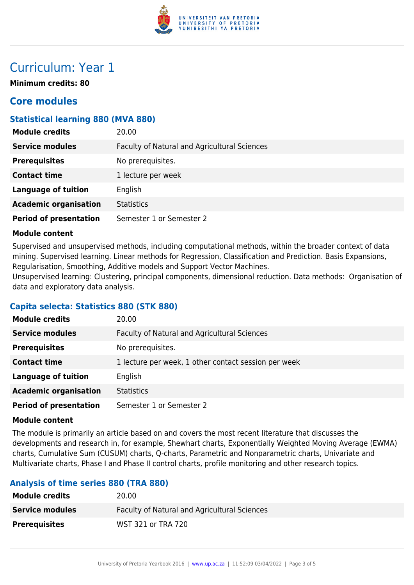

## Curriculum: Year 1

**Minimum credits: 80**

#### **Core modules**

#### **Statistical learning 880 (MVA 880)**

| <b>Module credits</b>         | 20.00                                        |
|-------------------------------|----------------------------------------------|
| <b>Service modules</b>        | Faculty of Natural and Agricultural Sciences |
| <b>Prerequisites</b>          | No prerequisites.                            |
| <b>Contact time</b>           | 1 lecture per week                           |
| <b>Language of tuition</b>    | English                                      |
| <b>Academic organisation</b>  | <b>Statistics</b>                            |
| <b>Period of presentation</b> | Semester 1 or Semester 2                     |

#### **Module content**

Supervised and unsupervised methods, including computational methods, within the broader context of data mining. Supervised learning. Linear methods for Regression, Classification and Prediction. Basis Expansions, Regularisation, Smoothing, Additive models and Support Vector Machines.

Unsupervised learning: Clustering, principal components, dimensional reduction. Data methods: Organisation of data and exploratory data analysis.

#### **Capita selecta: Statistics 880 (STK 880)**

| <b>Module credits</b>         | 20.00                                                |
|-------------------------------|------------------------------------------------------|
| <b>Service modules</b>        | Faculty of Natural and Agricultural Sciences         |
| <b>Prerequisites</b>          | No prerequisites.                                    |
| <b>Contact time</b>           | 1 lecture per week, 1 other contact session per week |
| <b>Language of tuition</b>    | English                                              |
| <b>Academic organisation</b>  | <b>Statistics</b>                                    |
| <b>Period of presentation</b> | Semester 1 or Semester 2                             |

#### **Module content**

The module is primarily an article based on and covers the most recent literature that discusses the developments and research in, for example, Shewhart charts, Exponentially Weighted Moving Average (EWMA) charts, Cumulative Sum (CUSUM) charts, Q-charts, Parametric and Nonparametric charts, Univariate and Multivariate charts, Phase I and Phase II control charts, profile monitoring and other research topics.

#### **Analysis of time series 880 (TRA 880)**

| <b>Module credits</b>  | 20.00                                               |
|------------------------|-----------------------------------------------------|
| <b>Service modules</b> | <b>Faculty of Natural and Agricultural Sciences</b> |
| <b>Prerequisites</b>   | WST 321 or TRA 720                                  |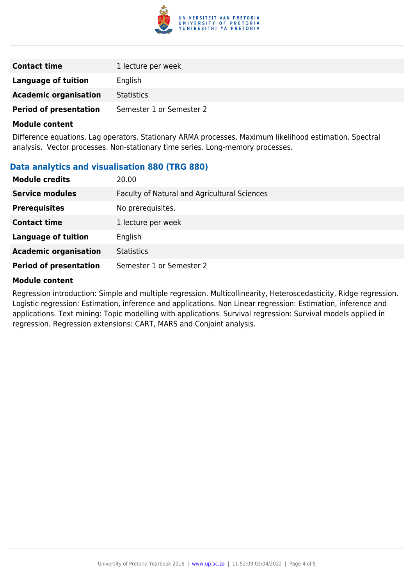

| <b>Contact time</b>           | 1 lecture per week       |
|-------------------------------|--------------------------|
| Language of tuition           | English                  |
| <b>Academic organisation</b>  | <b>Statistics</b>        |
| <b>Period of presentation</b> | Semester 1 or Semester 2 |

#### **Module content**

Difference equations. Lag operators. Stationary ARMA processes. Maximum likelihood estimation. Spectral analysis. Vector processes. Non-stationary time series. Long-memory processes.

#### **Data analytics and visualisation 880 (TRG 880)**

| <b>Module credits</b>         | 20.00                                        |
|-------------------------------|----------------------------------------------|
| <b>Service modules</b>        | Faculty of Natural and Agricultural Sciences |
| <b>Prerequisites</b>          | No prerequisites.                            |
| <b>Contact time</b>           | 1 lecture per week                           |
| <b>Language of tuition</b>    | English                                      |
| <b>Academic organisation</b>  | <b>Statistics</b>                            |
| <b>Period of presentation</b> | Semester 1 or Semester 2                     |

#### **Module content**

Regression introduction: Simple and multiple regression. Multicollinearity, Heteroscedasticity, Ridge regression. Logistic regression: Estimation, inference and applications. Non Linear regression: Estimation, inference and applications. Text mining: Topic modelling with applications. Survival regression: Survival models applied in regression. Regression extensions: CART, MARS and Conjoint analysis.